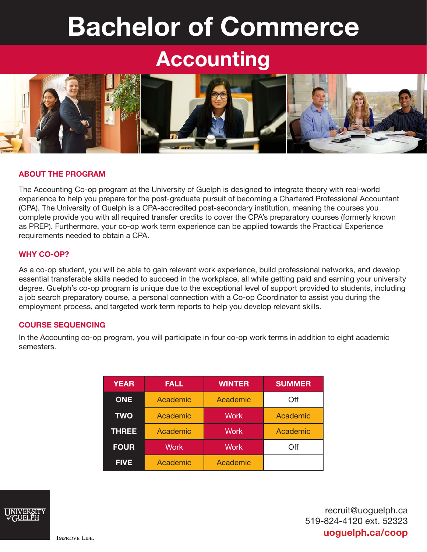# Bachelor of Commerce

## Accounting



#### ABOUT THE PROGRAM

The Accounting Co-op program at the University of Guelph is designed to integrate theory with real-world experience to help you prepare for the post-graduate pursuit of becoming a Chartered Professional Accountant (CPA). The University of Guelph is a CPA-accredited post-secondary institution, meaning the courses you complete provide you with all required transfer credits to cover the CPA's preparatory courses (formerly known as PREP). Furthermore, your co-op work term experience can be applied towards the Practical Experience requirements needed to obtain a CPA.

#### WHY CO-OP?

As a co-op student, you will be able to gain relevant work experience, build professional networks, and develop essential transferable skills needed to succeed in the workplace, all while getting paid and earning your university degree. Guelph's co-op program is unique due to the exceptional level of support provided to students, including a job search preparatory course, a personal connection with a Co-op Coordinator to assist you during the employment process, and targeted work term reports to help you develop relevant skills.

#### COURSE SEQUENCING

In the Accounting co-op program, you will participate in four co-op work terms in addition to eight academic semesters.

| <b>YEAR</b>  | <b>FALL</b>     | <b>WINTER</b> | <b>SUMMER</b> |
|--------------|-----------------|---------------|---------------|
| <b>ONE</b>   | Academic        | Academic      | Off           |
| <b>TWO</b>   | <b>Academic</b> | <b>Work</b>   | Academic      |
| <b>THREE</b> | Academic        | Work          | Academic      |
| <b>FOUR</b>  | <b>Work</b>     | Work          | Off           |
| <b>FIVE</b>  | Academic        | Academic      |               |



recruit@uoguelph.ca 519-824-4120 ext. 52323 uoguelph.ca/coop